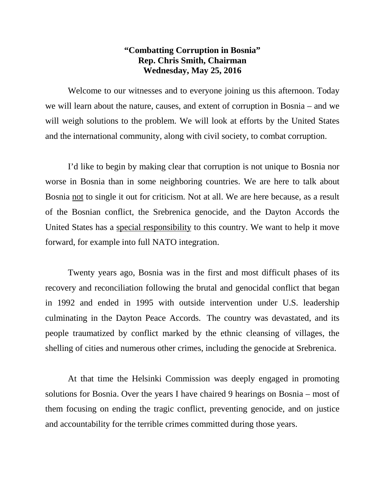## **"Combatting Corruption in Bosnia" Rep. Chris Smith, Chairman Wednesday, May 25, 2016**

Welcome to our witnesses and to everyone joining us this afternoon. Today we will learn about the nature, causes, and extent of corruption in Bosnia – and we will weigh solutions to the problem. We will look at efforts by the United States and the international community, along with civil society, to combat corruption.

I'd like to begin by making clear that corruption is not unique to Bosnia nor worse in Bosnia than in some neighboring countries. We are here to talk about Bosnia not to single it out for criticism. Not at all. We are here because, as a result of the Bosnian conflict, the Srebrenica genocide, and the Dayton Accords the United States has a special responsibility to this country. We want to help it move forward, for example into full NATO integration.

Twenty years ago, Bosnia was in the first and most difficult phases of its recovery and reconciliation following the brutal and genocidal conflict that began in 1992 and ended in 1995 with outside intervention under U.S. leadership culminating in the Dayton Peace Accords. The country was devastated, and its people traumatized by conflict marked by the ethnic cleansing of villages, the shelling of cities and numerous other crimes, including the genocide at Srebrenica.

At that time the Helsinki Commission was deeply engaged in promoting solutions for Bosnia. Over the years I have chaired 9 hearings on Bosnia – most of them focusing on ending the tragic conflict, preventing genocide, and on justice and accountability for the terrible crimes committed during those years.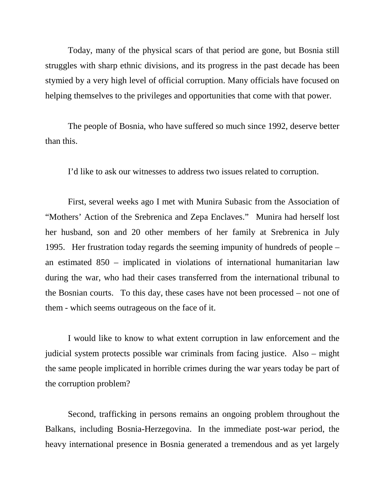Today, many of the physical scars of that period are gone, but Bosnia still struggles with sharp ethnic divisions, and its progress in the past decade has been stymied by a very high level of official corruption. Many officials have focused on helping themselves to the privileges and opportunities that come with that power.

The people of Bosnia, who have suffered so much since 1992, deserve better than this.

I'd like to ask our witnesses to address two issues related to corruption.

First, several weeks ago I met with Munira Subasic from the Association of "Mothers' Action of the Srebrenica and Zepa Enclaves." Munira had herself lost her husband, son and 20 other members of her family at Srebrenica in July 1995. Her frustration today regards the seeming impunity of hundreds of people – an estimated 850 – implicated in violations of international humanitarian law during the war, who had their cases transferred from the international tribunal to the Bosnian courts. To this day, these cases have not been processed – not one of them - which seems outrageous on the face of it.

I would like to know to what extent corruption in law enforcement and the judicial system protects possible war criminals from facing justice. Also – might the same people implicated in horrible crimes during the war years today be part of the corruption problem?

Second, trafficking in persons remains an ongoing problem throughout the Balkans, including Bosnia-Herzegovina. In the immediate post-war period, the heavy international presence in Bosnia generated a tremendous and as yet largely